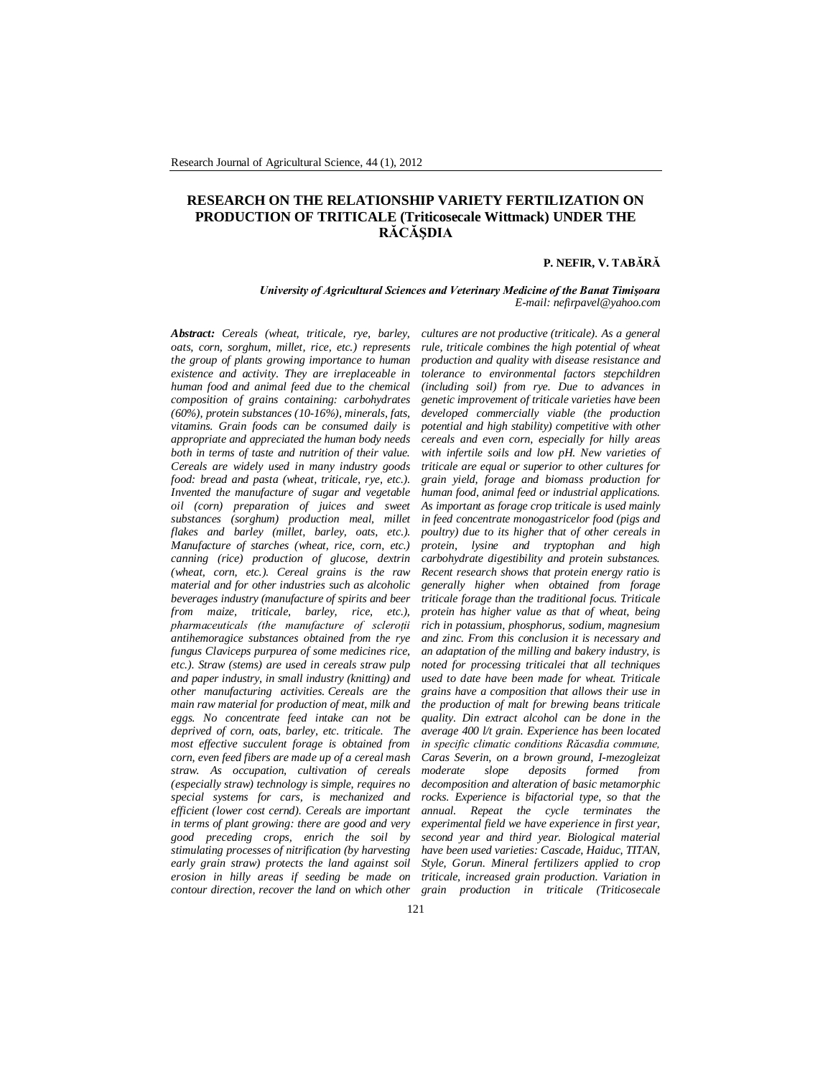# **RESEARCH ON THE RELATIONSHIP VARIETY FERTILIZATION ON PRODUCTION OF TRITICALE (Triticosecale Wittmack) UNDER THE RĂCĂŞDIA**

### **P. NEFIR, V. TABĂRĂ**

*University of Agricultural Sciences and Veterinary Medicine of the Banat Timişoara E-mail: nefirpavel@yahoo.com*

*Abstract: Cereals (wheat, triticale, rye, barley, oats, corn, sorghum, millet, rice, etc.) represents the group of plants growing importance to human existence and activity. They are irreplaceable in human food and animal feed due to the chemical composition of grains containing: carbohydrates (60%), protein substances (10-16%), minerals, fats, vitamins. Grain foods can be consumed daily is appropriate and appreciated the human body needs both in terms of taste and nutrition of their value. Cereals are widely used in many industry goods food: bread and pasta (wheat, triticale, rye, etc.). Invented the manufacture of sugar and vegetable oil (corn) preparation of juices and sweet substances (sorghum) production meal, millet flakes and barley (millet, barley, oats, etc.). Manufacture of starches (wheat, rice, corn, etc.) canning (rice) production of glucose, dextrin (wheat, corn, etc.). Cereal grains is the raw material and for other industries such as alcoholic beverages industry (manufacture of spirits and beer from maize, triticale, barley, rice, etc.), pharmaceuticals (the manufacture of scleroţii antihemoragice substances obtained from the rye fungus Claviceps purpurea of some medicines rice, etc.). Straw (stems) are used in cereals straw pulp and paper industry, in small industry (knitting) and other manufacturing activities. Cereals are the main raw material for production of meat, milk and eggs. No concentrate feed intake can not be deprived of corn, oats, barley, etc. triticale. The most effective succulent forage is obtained from corn, even feed fibers are made up of a cereal mash straw. As occupation, cultivation of cereals (especially straw) technology is simple, requires no special systems for cars, is mechanized and efficient (lower cost cernd). Cereals are important in terms of plant growing: there are good and very good preceding crops, enrich the soil by stimulating processes of nitrification (by harvesting early grain straw) protects the land against soil erosion in hilly areas if seeding be made on contour direction, recover the land on which other* 

*cultures are not productive (triticale). As a general rule, triticale combines the high potential of wheat production and quality with disease resistance and tolerance to environmental factors stepchildren (including soil) from rye. Due to advances in genetic improvement of triticale varieties have been developed commercially viable (the production potential and high stability) competitive with other cereals and even corn, especially for hilly areas with infertile soils and low pH. New varieties of triticale are equal or superior to other cultures for grain yield, forage and biomass production for human food, animal feed or industrial applications. As important as forage crop triticale is used mainly in feed concentrate monogastricelor food (pigs and poultry) due to its higher that of other cereals in protein, lysine and tryptophan and high carbohydrate digestibility and protein substances. Recent research shows that protein energy ratio is generally higher when obtained from forage triticale forage than the traditional focus. Triticale protein has higher value as that of wheat, being rich in potassium, phosphorus, sodium, magnesium and zinc. From this conclusion it is necessary and an adaptation of the milling and bakery industry, is noted for processing triticalei that all techniques used to date have been made for wheat. Triticale grains have a composition that allows their use in the production of malt for brewing beans triticale quality. Din extract alcohol can be done in the average 400 l/t grain. Experience has been located in specific climatic conditions Răcasdia commune, Caras Severin, on a brown ground, I-mezogleizat moderate slope deposits formed from decomposition and alteration of basic metamorphic rocks. Experience is bifactorial type, so that the annual. Repeat the cycle terminates the experimental field we have experience in first year, second year and third year. Biological material have been used varieties: Cascade, Haiduc, TITAN, Style, Gorun. Mineral fertilizers applied to crop triticale, increased grain production. Variation in grain production in triticale (Triticosecale*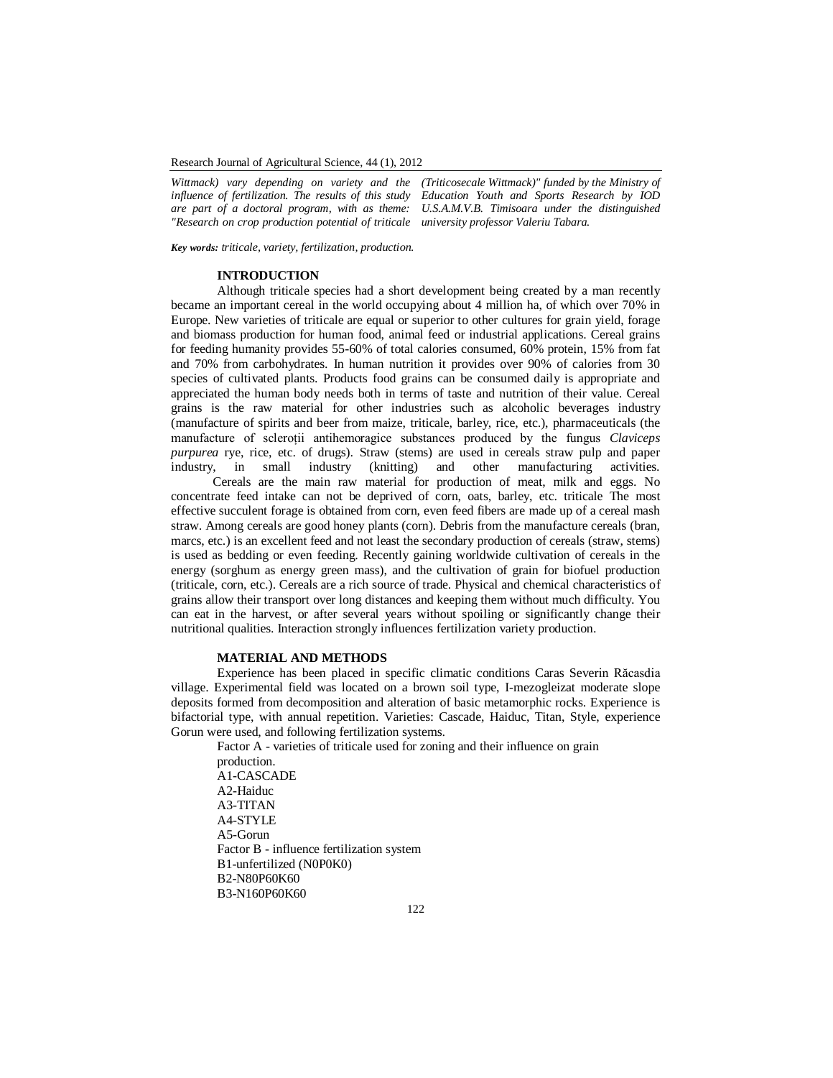Research Journal of Agricultural Science, 44 (1), 2012

*Wittmack) vary depending on variety and the influence of fertilization. The results of this study are part of a doctoral program, with as theme: "Research on crop production potential of triticale university professor Valeriu Tabara.*

*(Triticosecale Wittmack)" funded by the Ministry of Education Youth and Sports Research by IOD U.S.A.M.V.B. Timisoara under the distinguished* 

*Key words: triticale, variety, fertilization, production.*

### **INTRODUCTION**

Although triticale species had a short development being created by a man recently became an important cereal in the world occupying about 4 million ha, of which over 70% in Europe. New varieties of triticale are equal or superior to other cultures for grain yield, forage and biomass production for human food, animal feed or industrial applications. Cereal grains for feeding humanity provides 55-60% of total calories consumed, 60% protein, 15% from fat and 70% from carbohydrates. In human nutrition it provides over 90% of calories from 30 species of cultivated plants. Products food grains can be consumed daily is appropriate and appreciated the human body needs both in terms of taste and nutrition of their value. Cereal grains is the raw material for other industries such as alcoholic beverages industry (manufacture of spirits and beer from maize, triticale, barley, rice, etc.), pharmaceuticals (the manufacture of scleroţii antihemoragice substances produced by the fungus *Claviceps purpurea* rye, rice, etc. of drugs). Straw (stems) are used in cereals straw pulp and paper industry. in small industry (knitting) and other manufacturing activities. industry, in small industry (knitting) and other manufacturing activities.

 Cereals are the main raw material for production of meat, milk and eggs. No concentrate feed intake can not be deprived of corn, oats, barley, etc. triticale The most effective succulent forage is obtained from corn, even feed fibers are made up of a cereal mash straw. Among cereals are good honey plants (corn). Debris from the manufacture cereals (bran, marcs, etc.) is an excellent feed and not least the secondary production of cereals (straw, stems) is used as bedding or even feeding. Recently gaining worldwide cultivation of cereals in the energy (sorghum as energy green mass), and the cultivation of grain for biofuel production (triticale, corn, etc.). Cereals are a rich source of trade. Physical and chemical characteristics of grains allow their transport over long distances and keeping them without much difficulty. You can eat in the harvest, or after several years without spoiling or significantly change their nutritional qualities. Interaction strongly influences fertilization variety production.

# **MATERIAL AND METHODS**

Experience has been placed in specific climatic conditions Caras Severin Răcasdia village. Experimental field was located on a brown soil type, I-mezogleizat moderate slope deposits formed from decomposition and alteration of basic metamorphic rocks. Experience is bifactorial type, with annual repetition. Varieties: Cascade, Haiduc, Titan, Style, experience Gorun were used, and following fertilization systems.

Factor A - varieties of triticale used for zoning and their influence on grain production. A1-CASCADE A2-Haiduc A3-TITAN A4-STYLE A5-Gorun Factor B - influence fertilization system B1-unfertilized (N0P0K0) B2-N80P60K60 B3-N160P60K60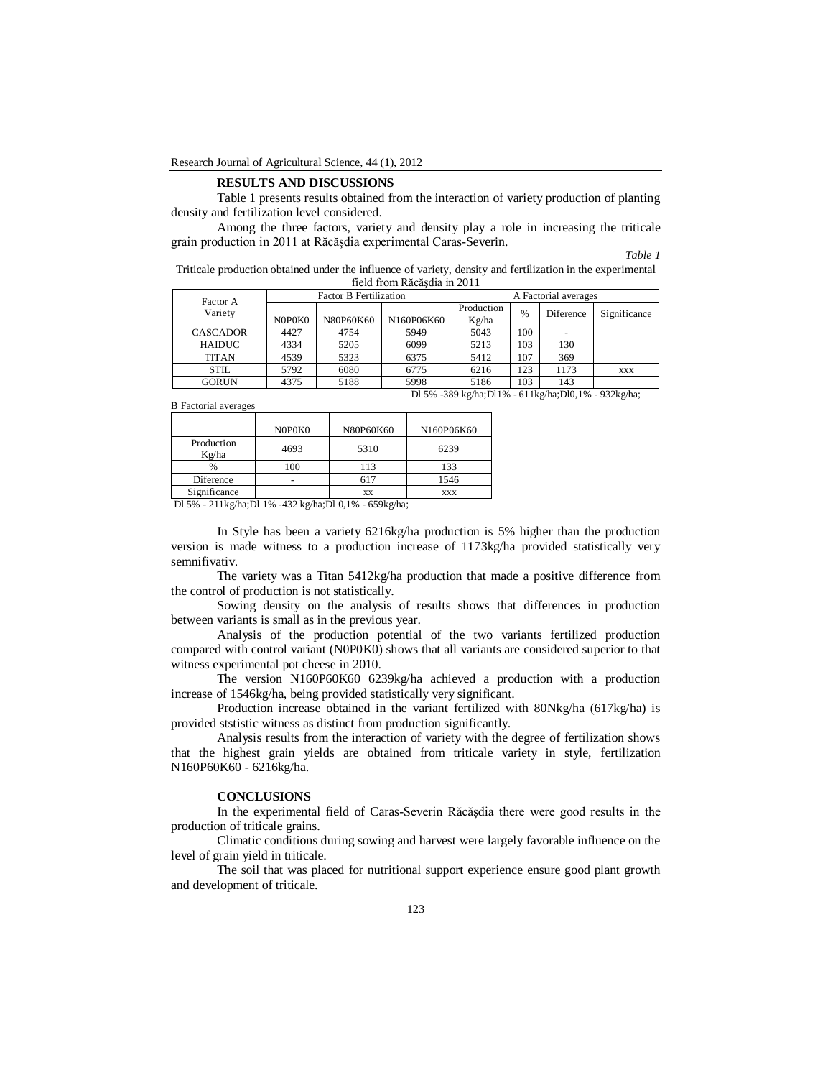#### **RESULTS AND DISCUSSIONS**

Table 1 presents results obtained from the interaction of variety production of planting density and fertilization level considered.

Among the three factors, variety and density play a role in increasing the triticale grain production in 2011 at Răcăşdia experimental Caras-Severin.

*Table 1*

Triticale production obtained under the influence of variety, density and fertilization in the experimental field from Răcăşdia in 2011

| Factor A<br>Variety                                   | <b>Factor B Fertilization</b> |           |            | A Factorial averages |      |           |              |  |
|-------------------------------------------------------|-------------------------------|-----------|------------|----------------------|------|-----------|--------------|--|
|                                                       | N0P0K0                        | N80P60K60 | N160P06K60 | Production<br>Kg/ha  | $\%$ | Diference | Significance |  |
| <b>CASCADOR</b>                                       | 4427                          | 4754      | 5949       | 5043                 | 100  |           |              |  |
| <b>HAIDUC</b>                                         | 4334                          | 5205      | 6099       | 5213                 | 103  | 130       |              |  |
| <b>TITAN</b>                                          | 4539                          | 5323      | 6375       | 5412                 | 107  | 369       |              |  |
| <b>STIL</b>                                           | 5792                          | 6080      | 6775       | 6216                 | 123  | 1173      | XXX          |  |
| <b>GORUN</b>                                          | 4375                          | 5188      | 5998       | 5186                 | 103  | 143       |              |  |
| Dl 5% -389 kg/ha;Dl1% - 611 kg/ha;Dl0,1% - 932 kg/ha; |                               |           |            |                      |      |           |              |  |

B Factorial averages

|                     | N0P0K0 | N80P60K60 | N160P06K60 |
|---------------------|--------|-----------|------------|
| Production<br>Kg/ha | 4693   | 5310      | 6239       |
| $\frac{0}{0}$       | 100    | 113       | 133        |
| Diference           |        |           | 1546       |
| Significance        |        | XX        | XXX        |

Dl 5% - 211kg/ha;Dl 1% -432 kg/ha;Dl 0,1% - 659kg/ha;

In Style has been a variety 6216kg/ha production is 5% higher than the production version is made witness to a production increase of 1173kg/ha provided statistically very semnifivativ.

The variety was a Titan 5412kg/ha production that made a positive difference from the control of production is not statistically.

Sowing density on the analysis of results shows that differences in production between variants is small as in the previous year.

Analysis of the production potential of the two variants fertilized production compared with control variant (N0P0K0) shows that all variants are considered superior to that witness experimental pot cheese in 2010.

The version N160P60K60 6239kg/ha achieved a production with a production increase of 1546kg/ha, being provided statistically very significant.

Production increase obtained in the variant fertilized with 80Nkg/ha (617kg/ha) is provided ststistic witness as distinct from production significantly.

Analysis results from the interaction of variety with the degree of fertilization shows that the highest grain yields are obtained from triticale variety in style, fertilization N160P60K60 - 6216kg/ha.

#### **CONCLUSIONS**

In the experimental field of Caras-Severin Răcăşdia there were good results in the production of triticale grains.

Climatic conditions during sowing and harvest were largely favorable influence on the level of grain yield in triticale.

The soil that was placed for nutritional support experience ensure good plant growth and development of triticale.